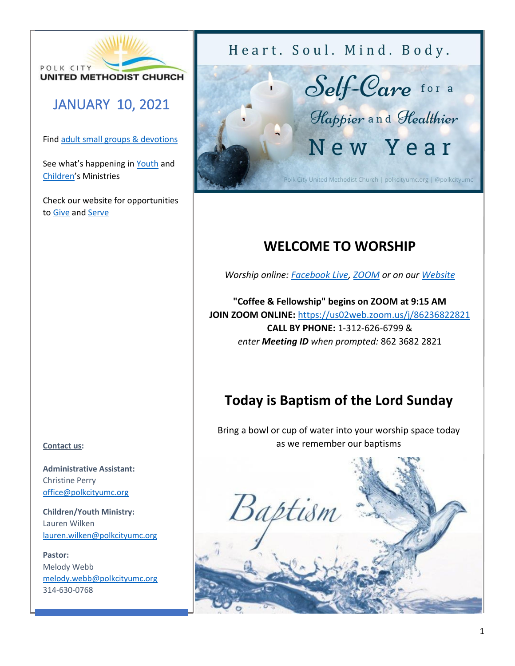

## JANUARY 10, 2021

Fin[d adult small groups & devotions](http://www.polkcityumc.org/grow)

See what's happening in [Youth](http://www.polkcityumc.org/youth) and [Children](http://www.polkcityumc.org/children)'s Ministries

Check our website for opportunities to [Give](http://www.polkcityumc.org/give) an[d Serve](http://www.polkcityumc.org/serve)

### **Contact us:**

**Administrative Assistant:**  Christine Perry [office@polkcityumc.org](mailto:office@polkcityumc.org)

**Children/Youth Ministry:**  Lauren Wilken [lauren.wilken@polkcityumc.org](mailto:lauren.wilken@polkcityumc.org)

**Pastor:** Melody Webb [melody.webb@polkcityumc.org](mailto:melody.webb@polkcityumc.org) 314-630-0768

Heart. Soul. Mind. Body.



# **WELCOME TO WORSHIP**

*Worship online: [Facebook Live,](http://www.facebook.com/polkcityumc) [ZOOM](https://us02web.zoom.us/j/86236822821) or on our [Website](http://www.polkcityumc.org/online-worship)*

**"Coffee & Fellowship" begins on ZOOM at 9:15 AM JOIN ZOOM ONLINE:** <https://us02web.zoom.us/j/86236822821> **CALL BY PHONE:** 1-312-626-6799 & *enter Meeting ID when prompted:* 862 3682 2821

# **Today is Baptism of the Lord Sunday**

Bring a bowl or cup of water into your worship space today as we remember our baptisms

Baptism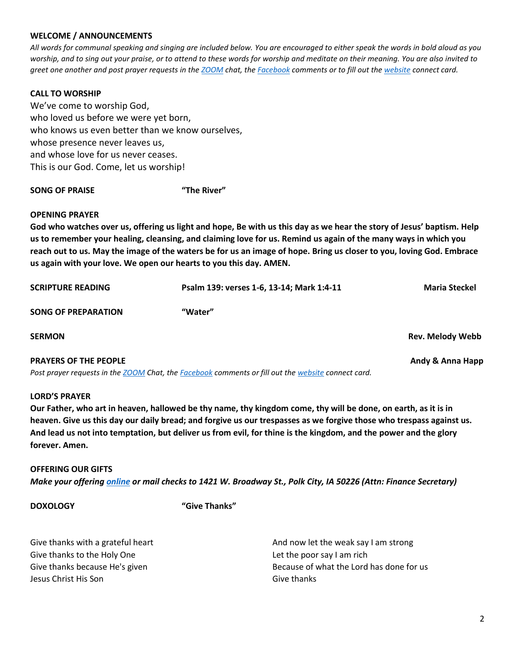#### **WELCOME / ANNOUNCEMENTS**

*All words for communal speaking and singing are included below. You are encouraged to either speak the words in bold aloud as you worship, and to sing out your praise, or to attend to these words for worship and meditate on their meaning. You are also invited to greet one another and post prayer requests in the [ZOOM](https://us02web.zoom.us/j/86236822821) chat, the [Facebook](https://www.facebook.com/polkcityumc/) comments or to fill out th[e website](https://www.polkcityumc.org/online-worship) connect card.*

### **CALL TO WORSHIP**

We've come to worship God, who loved us before we were yet born, who knows us even better than we know ourselves, whose presence never leaves us, and whose love for us never ceases. This is our God. Come, let us worship!

#### **SONG OF PRAISE "The River"**

#### **OPENING PRAYER**

**God who watches over us, offering us light and hope, Be with us this day as we hear the story of Jesus' baptism. Help us to remember your healing, cleansing, and claiming love for us. Remind us again of the many ways in which you reach out to us. May the image of the waters be for us an image of hope. Bring us closer to you, loving God. Embrace us again with your love. We open our hearts to you this day. AMEN.**

| <b>SCRIPTURE READING</b>     | Psalm 139: verses 1-6, 13-14; Mark 1:4-11 | <b>Maria Steckel</b> |
|------------------------------|-------------------------------------------|----------------------|
| <b>SONG OF PREPARATION</b>   | "Water"                                   |                      |
| <b>SERMON</b>                |                                           | Rev. Melody Webb     |
| <b>PRAYERS OF THE PEOPLE</b> |                                           | Andy & Anna Happ     |

*Post prayer requests in the [ZOOM](https://us02web.zoom.us/j/86236822821) Chat, the [Facebook](https://www.facebook.com/polkcityumc/) comments or fill out the [website](https://www.polkcityumc.org/online-worship) connect card.*

### **LORD'S PRAYER**

**Our Father, who art in heaven, hallowed be thy name, thy kingdom come, thy will be done, on earth, as it is in heaven. Give us this day our daily bread; and forgive us our trespasses as we forgive those who trespass against us. And lead us not into temptation, but deliver us from evil, for thine is the kingdom, and the power and the glory forever. Amen.** 

**OFFERING OUR GIFTS** *Make your offerin[g online](https://www.polkcityumc.org/give.html) or mail checks to 1421 W. Broadway St., Polk City, IA 50226 (Attn: Finance Secretary)*

**DOXOLOGY "Give Thanks"**

| Give thanks with a grateful heart | And now let the weak say I am strong     |
|-----------------------------------|------------------------------------------|
| Give thanks to the Holy One       | Let the poor say I am rich               |
| Give thanks because He's given    | Because of what the Lord has done for us |
| Jesus Christ His Son              | Give thanks                              |